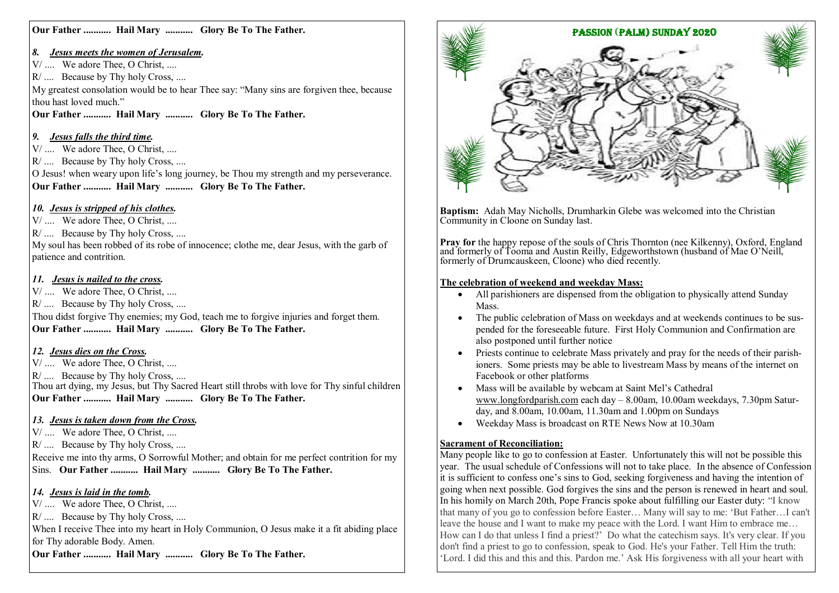**Our Father ........... Hail Mary ........... Glory Be To The Father.**

#### *8. Jesus meets the women of Jerusalem.*

V/ .... We adore Thee, O Christ, ....

R  $\ldots$  Because by Thy holy Cross, ....

My greatest consolation would be to hear Thee say: "Many sins are forgiven thee, because thou hast loved much."

**Our Father ........... Hail Mary ........... Glory Be To The Father.**

## *9. Jesus falls the third time.*

V/ .... We adore Thee, O Christ, ....

R/ .... Because by Thy holy Cross, ....

O Jesus! when weary upon life's long journey, be Thou my strength and my perseverance. **Our Father ........... Hail Mary ........... Glory Be To The Father.**

# *10. Jesus is stripped of his clothes.*

V/ .... We adore Thee, O Christ, ....

R/ .... Because by Thy holy Cross, ....

My soul has been robbed of its robe of innocence; clothe me, dear Jesus, with the garb of patience and contrition.

## *11. Jesus is nailed to the cross.*

V/ .... We adore Thee, O Christ, ....

R/ .... Because by Thy holy Cross, ....

Thou didst forgive Thy enemies; my God, teach me to forgive injuries and forget them. **Our Father ........... Hail Mary ........... Glory Be To The Father.**

## *12. Jesus dies on the Cross.*

V/ .... We adore Thee, O Christ, ....

R/ .... Because by Thy holy Cross, ....

Thou art dying, my Jesus, but Thy Sacred Heart still throbs with love for Thy sinful children **Our Father ........... Hail Mary ........... Glory Be To The Father.**

## *13. Jesus is taken down from the Cross.*

V/ .... We adore Thee, O Christ, ....

R/ .... Because by Thy holy Cross, ....

Receive me into thy arms, O Sorrowful Mother; and obtain for me perfect contrition for my Sins. **Our Father ........... Hail Mary ........... Glory Be To The Father.**

## *14. Jesus is laid in the tomb.*

V/ .... We adore Thee, O Christ, ....

R/ .... Because by Thy holy Cross, ....

When I receive Thee into my heart in Holy Communion, O Jesus make it a fit abiding place for Thy adorable Body. Amen.

**Our Father ........... Hail Mary ........... Glory Be To The Father.**



**Baptism:** Adah May Nicholls, Drumharkin Glebe was welcomed into the Christian Community in Cloone on Sunday last.

Pray for the happy repose of the souls of Chris Thornton (nee Kilkenny), Oxford, England and formerly of Tooma and Austin Reilly, Edgeworthstown (husband of Mae O'Neill, formerly of Drumcauskeen, Cloone) who died recently.

#### **The celebration of weekend and weekday Mass:**

- All parishioners are dispensed from the obligation to physically attend Sunday Mass.
- The public celebration of Mass on weekdays and at weekends continues to be suspended for the foreseeable future. First Holy Communion and Confirmation are also postponed until further notice
- Priests continue to celebrate Mass privately and pray for the needs of their parishioners. Some priests may be able to livestream Mass by means of the internet on Facebook or other platforms
- Mass will be available by webcam at Saint Mel's Cathedral [www.longfordparish.com](http://www.longfordparish.com) each day – 8.00am, 10.00am weekdays, 7.30pm Saturday, and 8.00am, 10.00am, 11.30am and 1.00pm on Sundays
- Weekday Mass is broadcast on RTE News Now at 10.30am

#### **Sacrament of Reconciliation:**

Many people like to go to confession at Easter. Unfortunately this will not be possible this year. The usual schedule of Confessions will not to take place. In the absence of Confession it is sufficient to confess one's sins to God, seeking forgiveness and having the intention of going when next possible. God forgives the sins and the person is renewed in heart and soul. In his homily on March 20th, Pope Francis spoke about fulfilling our Easter duty: "I know that many of you go to confession before Easter… Many will say to me: 'But Father…I can't leave the house and I want to make my peace with the Lord. I want Him to embrace me… How can I do that unless I find a priest?' Do what the catechism says. It's very clear. If you don't find a priest to go to confession, speak to God. He's your Father. Tell Him the truth: 'Lord. I did this and this and this. Pardon me.' Ask His forgiveness with all your heart with